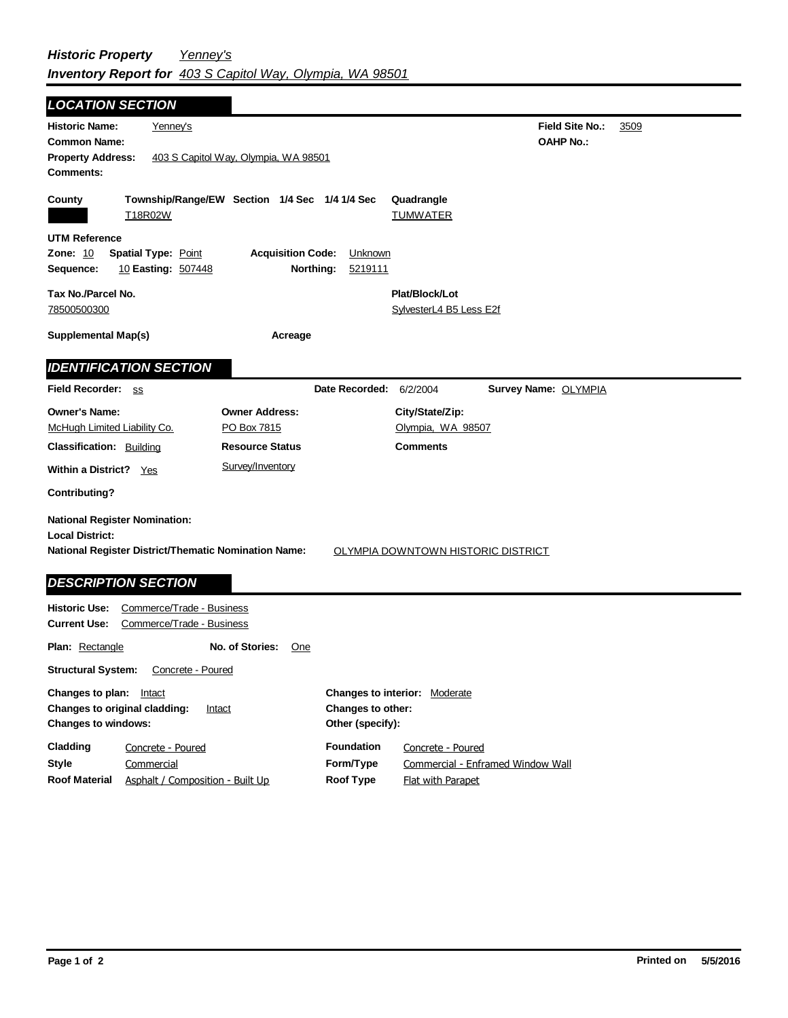| <b>LOCATION SECTION</b>                                                                                                                                             |                                               |                                  |  |  |
|---------------------------------------------------------------------------------------------------------------------------------------------------------------------|-----------------------------------------------|----------------------------------|--|--|
| <b>Historic Name:</b><br>Yenney's                                                                                                                                   |                                               | <b>Field Site No.:</b><br>3509   |  |  |
| <b>Common Name:</b>                                                                                                                                                 |                                               | <b>OAHP No.:</b>                 |  |  |
| <b>Property Address:</b>                                                                                                                                            | 403 S Capitol Way, Olympia, WA 98501          |                                  |  |  |
| <b>Comments:</b>                                                                                                                                                    |                                               |                                  |  |  |
| County                                                                                                                                                              | Township/Range/EW Section 1/4 Sec 1/4 1/4 Sec | Quadrangle                       |  |  |
| T18R02W                                                                                                                                                             |                                               | <b>TUMWATER</b>                  |  |  |
| <b>UTM Reference</b>                                                                                                                                                |                                               |                                  |  |  |
| <b>Zone: 10</b><br><b>Spatial Type: Point</b><br><b>Acquisition Code:</b><br>Unknown                                                                                |                                               |                                  |  |  |
| Sequence:<br>10 Easting: 507448                                                                                                                                     | Northing:<br>5219111                          |                                  |  |  |
| Tax No./Parcel No.                                                                                                                                                  |                                               | Plat/Block/Lot                   |  |  |
| 78500500300                                                                                                                                                         |                                               | SylvesterL4 B5 Less E2f          |  |  |
|                                                                                                                                                                     |                                               |                                  |  |  |
| <b>Supplemental Map(s)</b>                                                                                                                                          | Acreage                                       |                                  |  |  |
| <b>IDENTIFICATION SECTION</b>                                                                                                                                       |                                               |                                  |  |  |
| Field Recorder: ss                                                                                                                                                  | Date Recorded:                                | 6/2/2004<br>Survey Name: OLYMPIA |  |  |
| <b>Owner's Name:</b>                                                                                                                                                | <b>Owner Address:</b>                         | City/State/Zip:                  |  |  |
| McHugh Limited Liability Co.                                                                                                                                        | PO Box 7815                                   | Olympia, WA 98507                |  |  |
| <b>Classification: Building</b>                                                                                                                                     | <b>Resource Status</b>                        | <b>Comments</b>                  |  |  |
| Within a District? Yes                                                                                                                                              | Survey/Inventory                              |                                  |  |  |
| <b>Contributing?</b>                                                                                                                                                |                                               |                                  |  |  |
| <b>National Register Nomination:</b><br><b>Local District:</b><br>National Register District/Thematic Nomination Name:<br><b>OLYMPIA DOWNTOWN HISTORIC DISTRICT</b> |                                               |                                  |  |  |
|                                                                                                                                                                     |                                               |                                  |  |  |
| <b>DESCRIPTION SECTION</b>                                                                                                                                          |                                               |                                  |  |  |
| <b>Historic Use:</b><br>Commerce/Trade - Business<br><b>Current Use:</b><br>Commerce/Trade - Business                                                               |                                               |                                  |  |  |
| Plan: Rectangle<br>No. of Stories:<br>One                                                                                                                           |                                               |                                  |  |  |
| <b>Structural System:</b><br>Concrete - Poured                                                                                                                      |                                               |                                  |  |  |

| Changes to plan:<br>Intact<br>Changes to original cladding:<br>Intact<br><b>Changes to windows:</b> |                                  | <b>Changes to interior: Moderate</b><br>Changes to other:<br>Other (specify): |                                   |
|-----------------------------------------------------------------------------------------------------|----------------------------------|-------------------------------------------------------------------------------|-----------------------------------|
|                                                                                                     |                                  |                                                                               |                                   |
| <b>Style</b>                                                                                        | Commercial                       | Form/Type                                                                     | Commercial - Enframed Window Wall |
| <b>Roof Material</b>                                                                                | Asphalt / Composition - Built Up | Roof Type                                                                     | Flat with Parapet                 |